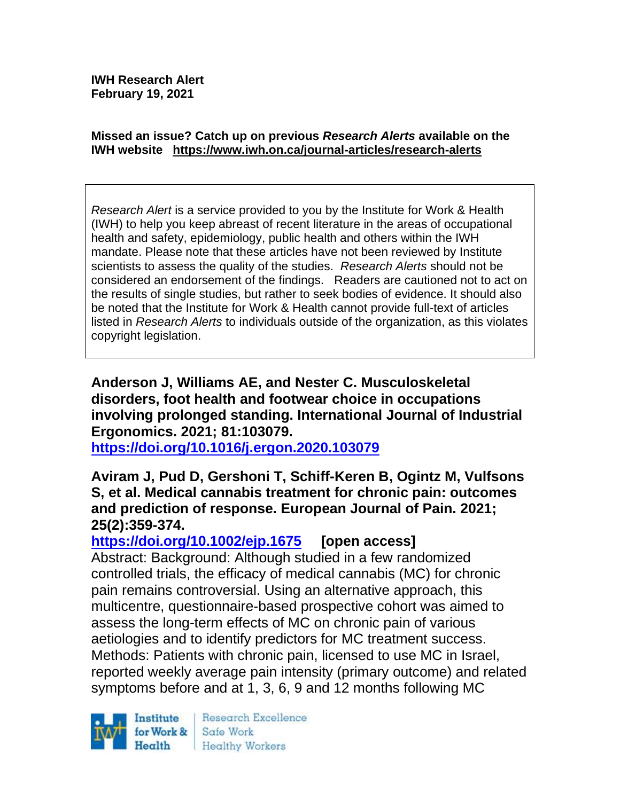#### **Missed an issue? Catch up on previous** *Research Alerts* **available on the [IWH website](http://www.iwh.on.ca/research-alerts) <https://www.iwh.on.ca/journal-articles/research-alerts>**

*Research Alert* is a service provided to you by the Institute for Work & Health (IWH) to help you keep abreast of recent literature in the areas of occupational health and safety, epidemiology, public health and others within the IWH mandate. Please note that these articles have not been reviewed by Institute scientists to assess the quality of the studies. *Research Alerts* should not be considered an endorsement of the findings. Readers are cautioned not to act on the results of single studies, but rather to seek bodies of evidence. It should also be noted that the Institute for Work & Health cannot provide full-text of articles listed in *Research Alerts* to individuals outside of the organization, as this violates copyright legislation.

#### **Anderson J, Williams AE, and Nester C. Musculoskeletal disorders, foot health and footwear choice in occupations involving prolonged standing. International Journal of Industrial Ergonomics. 2021; 81:103079.**

**<https://doi.org/10.1016/j.ergon.2020.103079>** 

**Aviram J, Pud D, Gershoni T, Schiff-Keren B, Ogintz M, Vulfsons S, et al. Medical cannabis treatment for chronic pain: outcomes and prediction of response. European Journal of Pain. 2021; 25(2):359-374.** 

**<https://doi.org/10.1002/ejp.1675> [open access]**

Abstract: Background: Although studied in a few randomized controlled trials, the efficacy of medical cannabis (MC) for chronic pain remains controversial. Using an alternative approach, this multicentre, questionnaire-based prospective cohort was aimed to assess the long-term effects of MC on chronic pain of various aetiologies and to identify predictors for MC treatment success. Methods: Patients with chronic pain, licensed to use MC in Israel, reported weekly average pain intensity (primary outcome) and related symptoms before and at 1, 3, 6, 9 and 12 months following MC



Research Excellence Safe Work **Healthy Workers**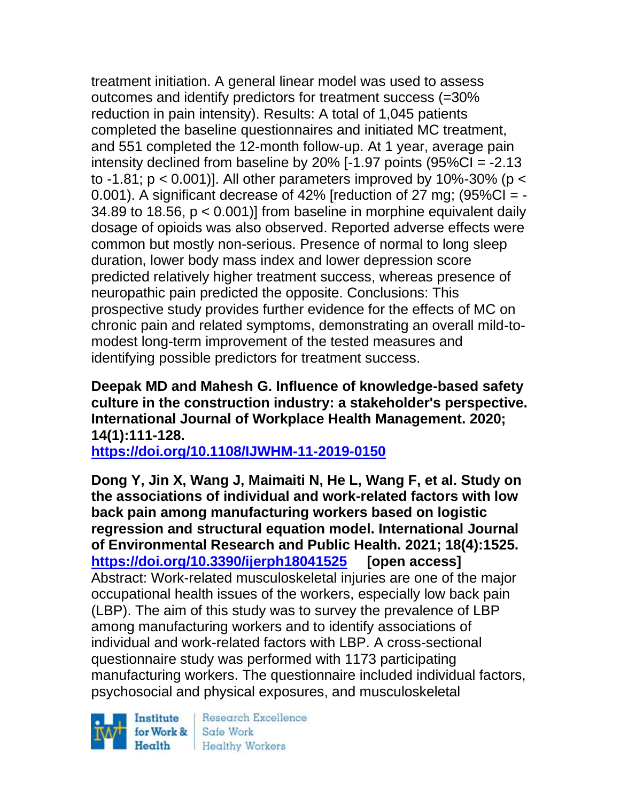treatment initiation. A general linear model was used to assess outcomes and identify predictors for treatment success (=30% reduction in pain intensity). Results: A total of 1,045 patients completed the baseline questionnaires and initiated MC treatment, and 551 completed the 12-month follow-up. At 1 year, average pain intensity declined from baseline by 20%  $[-1.97$  points  $(95\%CI = -2.13$ to -1.81;  $p < 0.001$ ]. All other parameters improved by 10%-30% ( $p <$ 0.001). A significant decrease of 42% [reduction of 27 mg; (95%CI = - 34.89 to 18.56, p < 0.001)] from baseline in morphine equivalent daily dosage of opioids was also observed. Reported adverse effects were common but mostly non-serious. Presence of normal to long sleep duration, lower body mass index and lower depression score predicted relatively higher treatment success, whereas presence of neuropathic pain predicted the opposite. Conclusions: This prospective study provides further evidence for the effects of MC on chronic pain and related symptoms, demonstrating an overall mild-tomodest long-term improvement of the tested measures and identifying possible predictors for treatment success.

### **Deepak MD and Mahesh G. Influence of knowledge-based safety culture in the construction industry: a stakeholder's perspective. International Journal of Workplace Health Management. 2020; 14(1):111-128.**

**<https://doi.org/10.1108/IJWHM-11-2019-0150>** 

**Dong Y, Jin X, Wang J, Maimaiti N, He L, Wang F, et al. Study on the associations of individual and work-related factors with low back pain among manufacturing workers based on logistic regression and structural equation model. International Journal of Environmental Research and Public Health. 2021; 18(4):1525. <https://doi.org/10.3390/ijerph18041525> [open access]** Abstract: Work-related musculoskeletal injuries are one of the major occupational health issues of the workers, especially low back pain (LBP). The aim of this study was to survey the prevalence of LBP among manufacturing workers and to identify associations of individual and work-related factors with LBP. A cross-sectional questionnaire study was performed with 1173 participating manufacturing workers. The questionnaire included individual factors, psychosocial and physical exposures, and musculoskeletal

Institute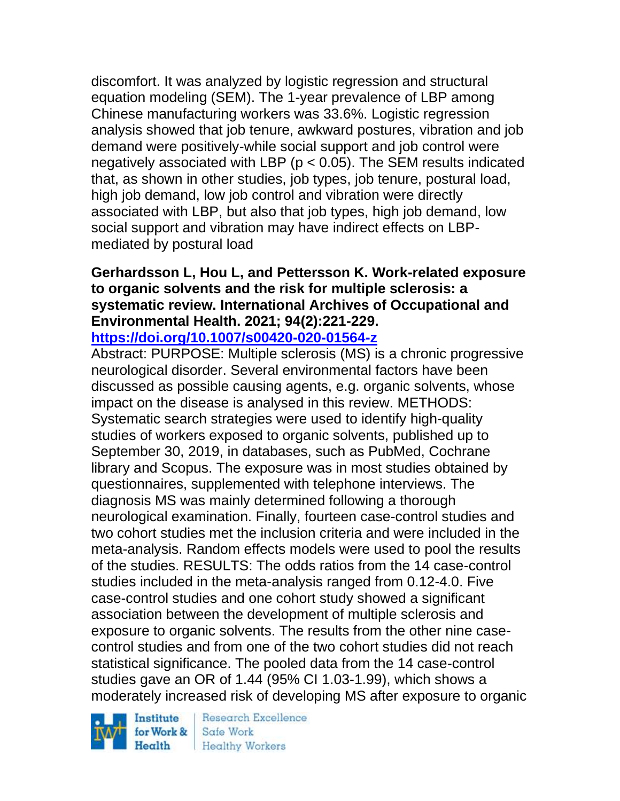discomfort. It was analyzed by logistic regression and structural equation modeling (SEM). The 1-year prevalence of LBP among Chinese manufacturing workers was 33.6%. Logistic regression analysis showed that job tenure, awkward postures, vibration and job demand were positively-while social support and job control were negatively associated with LBP ( $p < 0.05$ ). The SEM results indicated that, as shown in other studies, job types, job tenure, postural load, high job demand, low job control and vibration were directly associated with LBP, but also that job types, high job demand, low social support and vibration may have indirect effects on LBPmediated by postural load

#### **Gerhardsson L, Hou L, and Pettersson K. Work-related exposure to organic solvents and the risk for multiple sclerosis: a systematic review. International Archives of Occupational and Environmental Health. 2021; 94(2):221-229. <https://doi.org/10.1007/s00420-020-01564-z>**

Abstract: PURPOSE: Multiple sclerosis (MS) is a chronic progressive neurological disorder. Several environmental factors have been discussed as possible causing agents, e.g. organic solvents, whose impact on the disease is analysed in this review. METHODS: Systematic search strategies were used to identify high-quality studies of workers exposed to organic solvents, published up to September 30, 2019, in databases, such as PubMed, Cochrane library and Scopus. The exposure was in most studies obtained by questionnaires, supplemented with telephone interviews. The diagnosis MS was mainly determined following a thorough neurological examination. Finally, fourteen case-control studies and two cohort studies met the inclusion criteria and were included in the meta-analysis. Random effects models were used to pool the results of the studies. RESULTS: The odds ratios from the 14 case-control studies included in the meta-analysis ranged from 0.12-4.0. Five case-control studies and one cohort study showed a significant association between the development of multiple sclerosis and exposure to organic solvents. The results from the other nine casecontrol studies and from one of the two cohort studies did not reach statistical significance. The pooled data from the 14 case-control studies gave an OR of 1.44 (95% CI 1.03-1.99), which shows a moderately increased risk of developing MS after exposure to organic

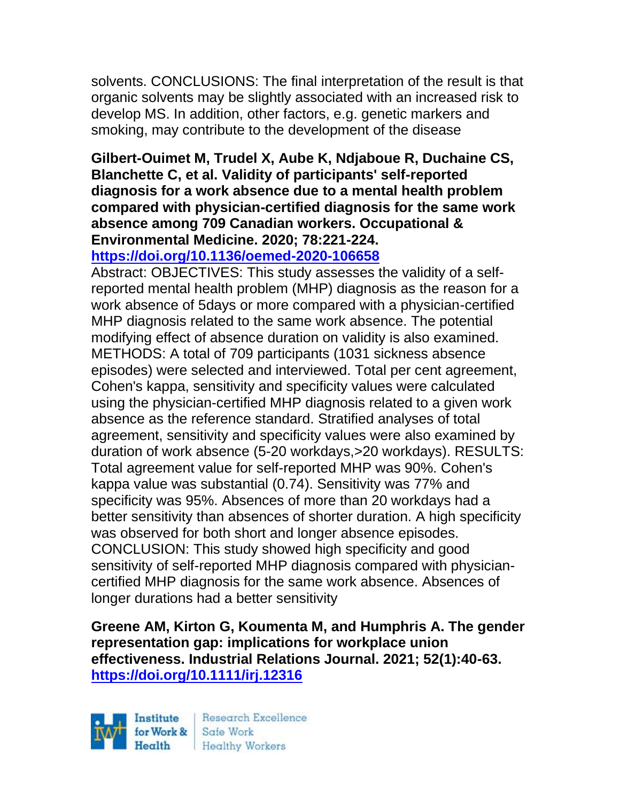solvents. CONCLUSIONS: The final interpretation of the result is that organic solvents may be slightly associated with an increased risk to develop MS. In addition, other factors, e.g. genetic markers and smoking, may contribute to the development of the disease

## **Gilbert-Ouimet M, Trudel X, Aube K, Ndjaboue R, Duchaine CS, Blanchette C, et al. Validity of participants' self-reported diagnosis for a work absence due to a mental health problem compared with physician-certified diagnosis for the same work absence among 709 Canadian workers. Occupational & Environmental Medicine. 2020; 78:221-224.**

**<https://doi.org/10.1136/oemed-2020-106658>** 

Abstract: OBJECTIVES: This study assesses the validity of a selfreported mental health problem (MHP) diagnosis as the reason for a work absence of 5days or more compared with a physician-certified MHP diagnosis related to the same work absence. The potential modifying effect of absence duration on validity is also examined. METHODS: A total of 709 participants (1031 sickness absence episodes) were selected and interviewed. Total per cent agreement, Cohen's kappa, sensitivity and specificity values were calculated using the physician-certified MHP diagnosis related to a given work absence as the reference standard. Stratified analyses of total agreement, sensitivity and specificity values were also examined by duration of work absence (5-20 workdays,>20 workdays). RESULTS: Total agreement value for self-reported MHP was 90%. Cohen's kappa value was substantial (0.74). Sensitivity was 77% and specificity was 95%. Absences of more than 20 workdays had a better sensitivity than absences of shorter duration. A high specificity was observed for both short and longer absence episodes. CONCLUSION: This study showed high specificity and good sensitivity of self-reported MHP diagnosis compared with physiciancertified MHP diagnosis for the same work absence. Absences of longer durations had a better sensitivity

**Greene AM, Kirton G, Koumenta M, and Humphris A. The gender representation gap: implications for workplace union effectiveness. Industrial Relations Journal. 2021; 52(1):40-63. <https://doi.org/10.1111/irj.12316>** 



Research Excellence Healthy Workers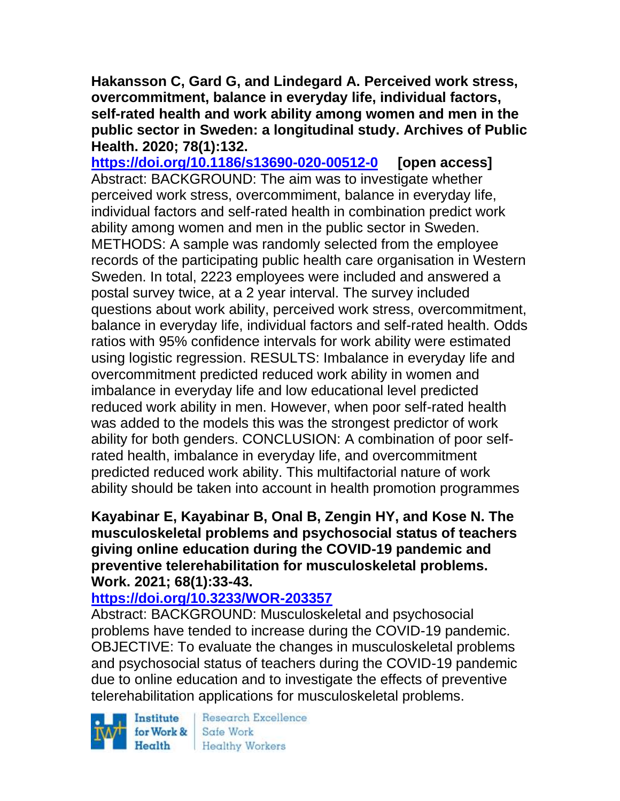**Hakansson C, Gard G, and Lindegard A. Perceived work stress, overcommitment, balance in everyday life, individual factors, self-rated health and work ability among women and men in the public sector in Sweden: a longitudinal study. Archives of Public Health. 2020; 78(1):132.**

**<https://doi.org/10.1186/s13690-020-00512-0> [open access]** Abstract: BACKGROUND: The aim was to investigate whether perceived work stress, overcommiment, balance in everyday life, individual factors and self-rated health in combination predict work ability among women and men in the public sector in Sweden. METHODS: A sample was randomly selected from the employee records of the participating public health care organisation in Western Sweden. In total, 2223 employees were included and answered a postal survey twice, at a 2 year interval. The survey included questions about work ability, perceived work stress, overcommitment, balance in everyday life, individual factors and self-rated health. Odds ratios with 95% confidence intervals for work ability were estimated using logistic regression. RESULTS: Imbalance in everyday life and overcommitment predicted reduced work ability in women and imbalance in everyday life and low educational level predicted reduced work ability in men. However, when poor self-rated health was added to the models this was the strongest predictor of work ability for both genders. CONCLUSION: A combination of poor selfrated health, imbalance in everyday life, and overcommitment predicted reduced work ability. This multifactorial nature of work ability should be taken into account in health promotion programmes

### **Kayabinar E, Kayabinar B, Onal B, Zengin HY, and Kose N. The musculoskeletal problems and psychosocial status of teachers giving online education during the COVID-19 pandemic and preventive telerehabilitation for musculoskeletal problems. Work. 2021; 68(1):33-43.**

# **<https://doi.org/10.3233/WOR-203357>**

Abstract: BACKGROUND: Musculoskeletal and psychosocial problems have tended to increase during the COVID-19 pandemic. OBJECTIVE: To evaluate the changes in musculoskeletal problems and psychosocial status of teachers during the COVID-19 pandemic due to online education and to investigate the effects of preventive telerehabilitation applications for musculoskeletal problems.

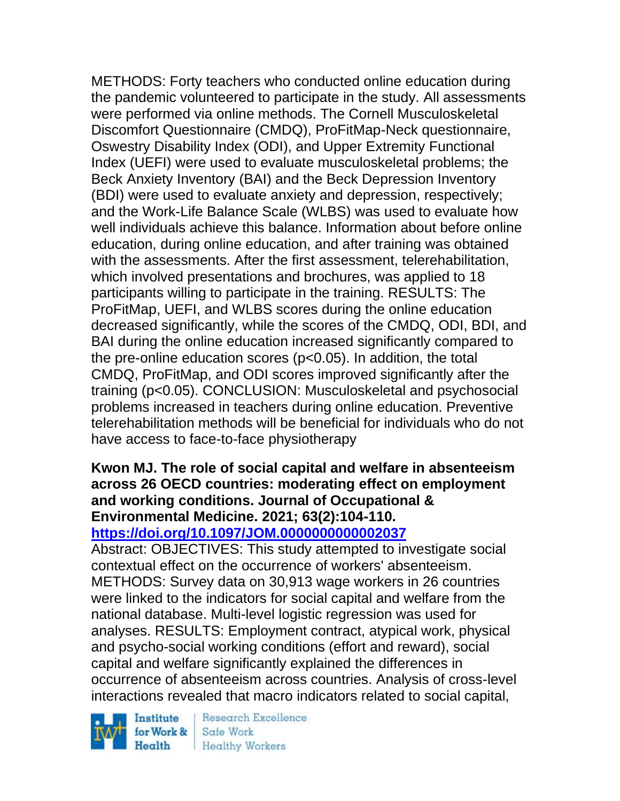METHODS: Forty teachers who conducted online education during the pandemic volunteered to participate in the study. All assessments were performed via online methods. The Cornell Musculoskeletal Discomfort Questionnaire (CMDQ), ProFitMap-Neck questionnaire, Oswestry Disability Index (ODI), and Upper Extremity Functional Index (UEFI) were used to evaluate musculoskeletal problems; the Beck Anxiety Inventory (BAI) and the Beck Depression Inventory (BDI) were used to evaluate anxiety and depression, respectively; and the Work-Life Balance Scale (WLBS) was used to evaluate how well individuals achieve this balance. Information about before online education, during online education, and after training was obtained with the assessments. After the first assessment, telerehabilitation, which involved presentations and brochures, was applied to 18 participants willing to participate in the training. RESULTS: The ProFitMap, UEFI, and WLBS scores during the online education decreased significantly, while the scores of the CMDQ, ODI, BDI, and BAI during the online education increased significantly compared to the pre-online education scores (p<0.05). In addition, the total CMDQ, ProFitMap, and ODI scores improved significantly after the training (p<0.05). CONCLUSION: Musculoskeletal and psychosocial problems increased in teachers during online education. Preventive telerehabilitation methods will be beneficial for individuals who do not have access to face-to-face physiotherapy

**Kwon MJ. The role of social capital and welfare in absenteeism across 26 OECD countries: moderating effect on employment and working conditions. Journal of Occupational & Environmental Medicine. 2021; 63(2):104-110. <https://doi.org/10.1097/JOM.0000000000002037>** 

Abstract: OBJECTIVES: This study attempted to investigate social contextual effect on the occurrence of workers' absenteeism. METHODS: Survey data on 30,913 wage workers in 26 countries were linked to the indicators for social capital and welfare from the national database. Multi-level logistic regression was used for analyses. RESULTS: Employment contract, atypical work, physical and psycho-social working conditions (effort and reward), social capital and welfare significantly explained the differences in occurrence of absenteeism across countries. Analysis of cross-level interactions revealed that macro indicators related to social capital,

Institute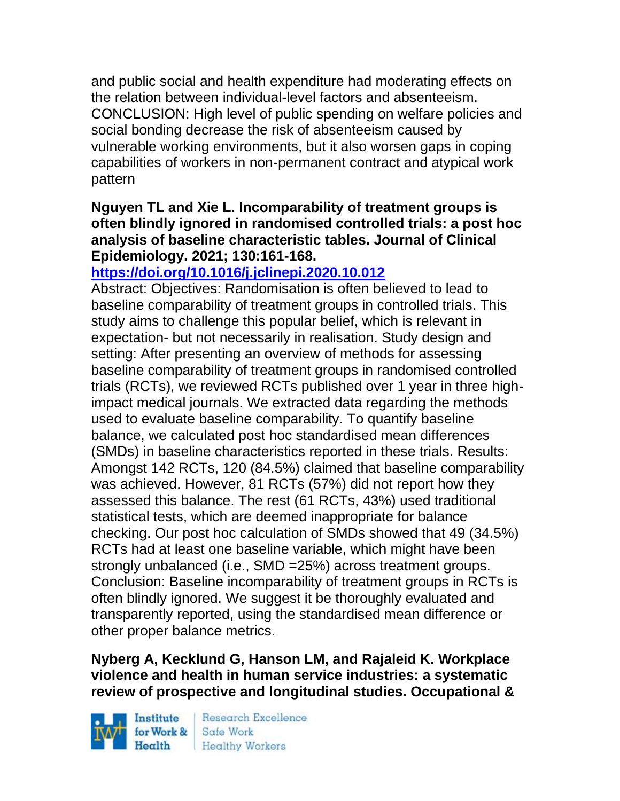and public social and health expenditure had moderating effects on the relation between individual-level factors and absenteeism. CONCLUSION: High level of public spending on welfare policies and social bonding decrease the risk of absenteeism caused by vulnerable working environments, but it also worsen gaps in coping capabilities of workers in non-permanent contract and atypical work pattern

### **Nguyen TL and Xie L. Incomparability of treatment groups is often blindly ignored in randomised controlled trials: a post hoc analysis of baseline characteristic tables. Journal of Clinical Epidemiology. 2021; 130:161-168.**

## **<https://doi.org/10.1016/j.jclinepi.2020.10.012>**

Abstract: Objectives: Randomisation is often believed to lead to baseline comparability of treatment groups in controlled trials. This study aims to challenge this popular belief, which is relevant in expectation- but not necessarily in realisation. Study design and setting: After presenting an overview of methods for assessing baseline comparability of treatment groups in randomised controlled trials (RCTs), we reviewed RCTs published over 1 year in three highimpact medical journals. We extracted data regarding the methods used to evaluate baseline comparability. To quantify baseline balance, we calculated post hoc standardised mean differences (SMDs) in baseline characteristics reported in these trials. Results: Amongst 142 RCTs, 120 (84.5%) claimed that baseline comparability was achieved. However, 81 RCTs (57%) did not report how they assessed this balance. The rest (61 RCTs, 43%) used traditional statistical tests, which are deemed inappropriate for balance checking. Our post hoc calculation of SMDs showed that 49 (34.5%) RCTs had at least one baseline variable, which might have been strongly unbalanced (i.e., SMD =25%) across treatment groups. Conclusion: Baseline incomparability of treatment groups in RCTs is often blindly ignored. We suggest it be thoroughly evaluated and transparently reported, using the standardised mean difference or other proper balance metrics.

### **Nyberg A, Kecklund G, Hanson LM, and Rajaleid K. Workplace violence and health in human service industries: a systematic review of prospective and longitudinal studies. Occupational &**

Institute Health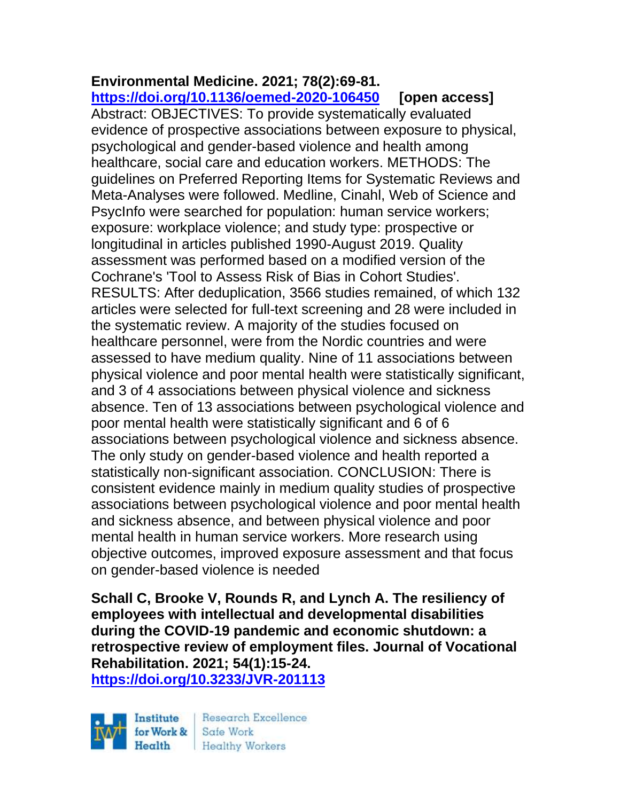#### **Environmental Medicine. 2021; 78(2):69-81. <https://doi.org/10.1136/oemed-2020-106450> [open access]**

Abstract: OBJECTIVES: To provide systematically evaluated evidence of prospective associations between exposure to physical, psychological and gender-based violence and health among healthcare, social care and education workers. METHODS: The guidelines on Preferred Reporting Items for Systematic Reviews and Meta-Analyses were followed. Medline, Cinahl, Web of Science and PsycInfo were searched for population: human service workers; exposure: workplace violence; and study type: prospective or longitudinal in articles published 1990-August 2019. Quality assessment was performed based on a modified version of the Cochrane's 'Tool to Assess Risk of Bias in Cohort Studies'. RESULTS: After deduplication, 3566 studies remained, of which 132 articles were selected for full-text screening and 28 were included in the systematic review. A majority of the studies focused on healthcare personnel, were from the Nordic countries and were assessed to have medium quality. Nine of 11 associations between physical violence and poor mental health were statistically significant, and 3 of 4 associations between physical violence and sickness absence. Ten of 13 associations between psychological violence and poor mental health were statistically significant and 6 of 6 associations between psychological violence and sickness absence. The only study on gender-based violence and health reported a statistically non-significant association. CONCLUSION: There is consistent evidence mainly in medium quality studies of prospective associations between psychological violence and poor mental health and sickness absence, and between physical violence and poor mental health in human service workers. More research using objective outcomes, improved exposure assessment and that focus on gender-based violence is needed

**Schall C, Brooke V, Rounds R, and Lynch A. The resiliency of employees with intellectual and developmental disabilities during the COVID-19 pandemic and economic shutdown: a retrospective review of employment files. Journal of Vocational Rehabilitation. 2021; 54(1):15-24. <https://doi.org/10.3233/JVR-201113>** 

Institute Health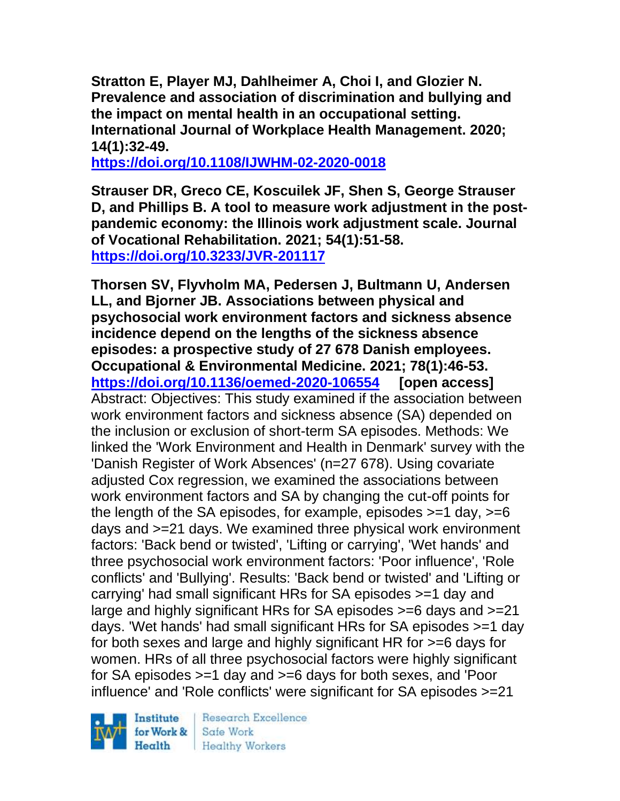**Stratton E, Player MJ, Dahlheimer A, Choi I, and Glozier N. Prevalence and association of discrimination and bullying and the impact on mental health in an occupational setting. International Journal of Workplace Health Management. 2020; 14(1):32-49.** 

**<https://doi.org/10.1108/IJWHM-02-2020-0018>**

**Strauser DR, Greco CE, Koscuilek JF, Shen S, George Strauser D, and Phillips B. A tool to measure work adjustment in the postpandemic economy: the Illinois work adjustment scale. Journal of Vocational Rehabilitation. 2021; 54(1):51-58. <https://doi.org/10.3233/JVR-201117>** 

**Thorsen SV, Flyvholm MA, Pedersen J, Bultmann U, Andersen LL, and Bjorner JB. Associations between physical and psychosocial work environment factors and sickness absence incidence depend on the lengths of the sickness absence episodes: a prospective study of 27 678 Danish employees. Occupational & Environmental Medicine. 2021; 78(1):46-53. <https://doi.org/10.1136/oemed-2020-106554> [open access]** Abstract: Objectives: This study examined if the association between work environment factors and sickness absence (SA) depended on the inclusion or exclusion of short-term SA episodes. Methods: We linked the 'Work Environment and Health in Denmark' survey with the 'Danish Register of Work Absences' (n=27 678). Using covariate adjusted Cox regression, we examined the associations between work environment factors and SA by changing the cut-off points for the length of the SA episodes, for example, episodes  $>=1$  day,  $>=6$ days and >=21 days. We examined three physical work environment factors: 'Back bend or twisted', 'Lifting or carrying', 'Wet hands' and three psychosocial work environment factors: 'Poor influence', 'Role conflicts' and 'Bullying'. Results: 'Back bend or twisted' and 'Lifting or carrying' had small significant HRs for SA episodes >=1 day and large and highly significant HRs for SA episodes >=6 days and >=21 days. 'Wet hands' had small significant HRs for SA episodes >=1 day for both sexes and large and highly significant HR for >=6 days for women. HRs of all three psychosocial factors were highly significant for SA episodes >=1 day and >=6 days for both sexes, and 'Poor influence' and 'Role conflicts' were significant for SA episodes >=21

Institute